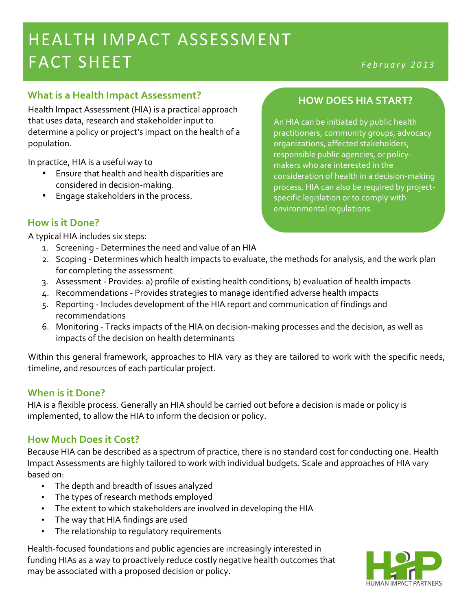# HEALTH IMPACT ASSESSMENT AND LOREAN MEALTH IMPACT ASSESSMENT FACT&SHEET *February! <sup>2</sup> <sup>0</sup> <sup>1</sup> <sup>3</sup>*

## **What is a Health Impact Assessment?**

Health Impact Assessment (HIA) is a practical approach that uses data, research and stakeholder input to determine a policy or project's impact on the health of a population.

In practice, HIA is a useful way to

- Ensure that health and health disparities are considered in decision-making.
- Engage stakeholders in the process.

## **How is it Done?**

A typical HIA includes six steps:

- 1. Screening Determines the need and value of an HIA
- 2. Scoping Determines which health impacts to evaluate, the methods for analysis, and the work plan for completing the assessment
- 3. Assessment Provides: a) profile of existing health conditions; b) evaluation of health impacts
- 4. Recommendations Provides strategies to manage identified adverse health impacts
- 5. Reporting Includes development of the HIA report and communication of findings and recommendations'
- 6. Monitoring Tracks impacts of the HIA on decision-making processes and the decision, as well as impacts of the decision on health determinants

Within this general framework, approaches to HIA vary as they are tailored to work with the specific needs, timeline, and resources of each particular project.

## **When is it Done?**

HIA is a flexible process. Generally an HIA should be carried out before a decision is made or policy is implemented, to allow the HIA to inform the decision or policy.

## **How Much Does it Cost?**

Because HIA can be described as a spectrum of practice, there is no standard cost for conducting one. Health Impact Assessments are highly tailored to work with individual budgets. Scale and approaches of HIA vary based on:

- The depth and breadth of issues analyzed
- The types of research methods employed
- The extent to which stakeholders are involved in developing the HIA
- The way that HIA findings are used
- The relationship to regulatory requirements

Health-focused foundations and public agencies are increasingly interested in funding HIAs as a way to proactively reduce costly negative health outcomes that may be associated with a proposed decision or policy.



#### **HOW%DOES%HIA%START?**

An HIA can be initiated by public health practitioners, community groups, advocacy organizations, affected stakeholders, responsible public agencies, or policymakers who are interested in the consideration of health in a decision-making process. HIA can also be required by projectspecific legislation or to comply with environmental regulations.